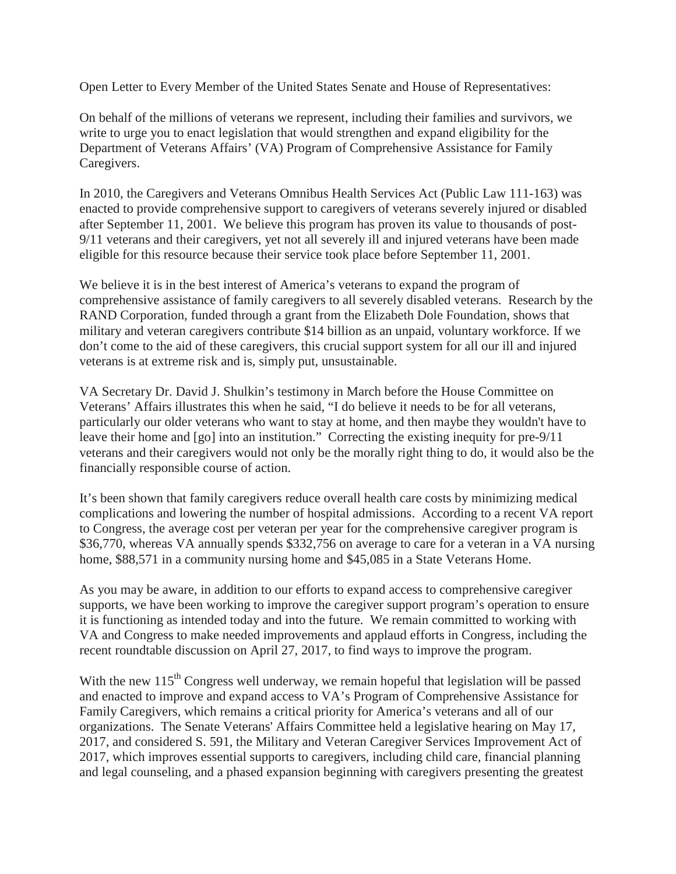Open Letter to Every Member of the United States Senate and House of Representatives:

On behalf of the millions of veterans we represent, including their families and survivors, we write to urge you to enact legislation that would strengthen and expand eligibility for the Department of Veterans Affairs' (VA) Program of Comprehensive Assistance for Family Caregivers.

In 2010, the Caregivers and Veterans Omnibus Health Services Act (Public Law 111-163) was enacted to provide comprehensive support to caregivers of veterans severely injured or disabled after September 11, 2001. We believe this program has proven its value to thousands of post-9/11 veterans and their caregivers, yet not all severely ill and injured veterans have been made eligible for this resource because their service took place before September 11, 2001.

We believe it is in the best interest of America's veterans to expand the program of comprehensive assistance of family caregivers to all severely disabled veterans. Research by the RAND Corporation, funded through a grant from the Elizabeth Dole Foundation, shows that military and veteran caregivers contribute \$14 billion as an unpaid, voluntary workforce. If we don't come to the aid of these caregivers, this crucial support system for all our ill and injured veterans is at extreme risk and is, simply put, unsustainable.

VA Secretary Dr. David J. Shulkin's testimony in March before the House Committee on Veterans' Affairs illustrates this when he said, "I do believe it needs to be for all veterans, particularly our older veterans who want to stay at home, and then maybe they wouldn't have to leave their home and [go] into an institution." Correcting the existing inequity for pre-9/11 veterans and their caregivers would not only be the morally right thing to do, it would also be the financially responsible course of action.

It's been shown that family caregivers reduce overall health care costs by minimizing medical complications and lowering the number of hospital admissions. According to a recent VA report to Congress, the average cost per veteran per year for the comprehensive caregiver program is \$36,770, whereas VA annually spends \$332,756 on average to care for a veteran in a VA nursing home, \$88,571 in a community nursing home and \$45,085 in a State Veterans Home.

As you may be aware, in addition to our efforts to expand access to comprehensive caregiver supports, we have been working to improve the caregiver support program's operation to ensure it is functioning as intended today and into the future. We remain committed to working with VA and Congress to make needed improvements and applaud efforts in Congress, including the recent roundtable discussion on April 27, 2017, to find ways to improve the program.

With the new  $115<sup>th</sup>$  Congress well underway, we remain hopeful that legislation will be passed and enacted to improve and expand access to VA's Program of Comprehensive Assistance for Family Caregivers, which remains a critical priority for America's veterans and all of our organizations. The Senate Veterans' Affairs Committee held a legislative hearing on May 17, 2017, and considered S. 591, the Military and Veteran Caregiver Services Improvement Act of 2017, which improves essential supports to caregivers, including child care, financial planning and legal counseling, and a phased expansion beginning with caregivers presenting the greatest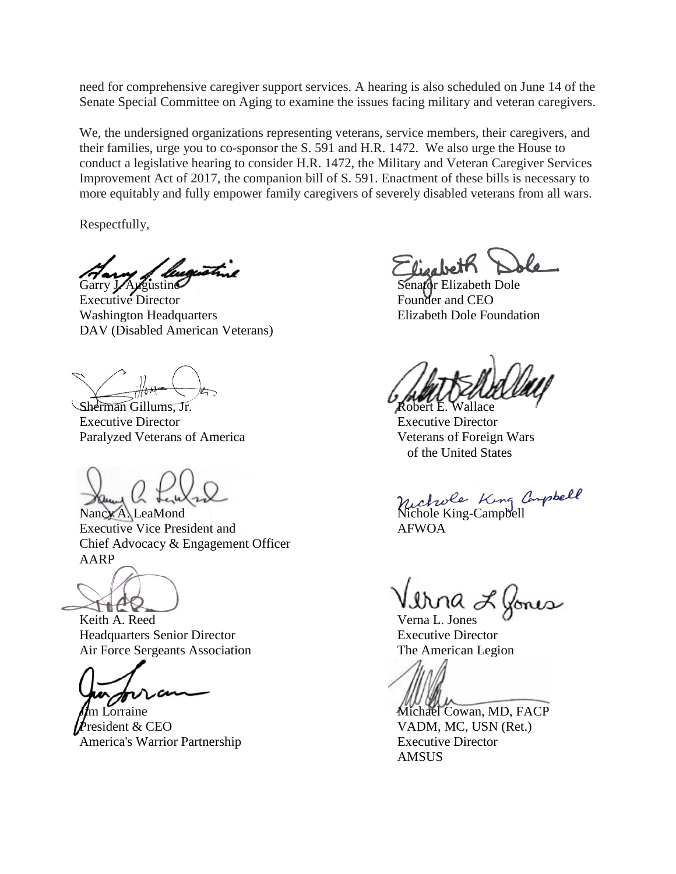need for comprehensive caregiver support services. A hearing is also scheduled on June 14 of the Senate Special Committee on Aging to examine the issues facing military and veteran caregivers.

We, the undersigned organizations representing veterans, service members, their caregivers, and their families, urge you to co-sponsor the S. 591 and H.R. 1472. We also urge the House to conduct a legislative hearing to consider H.R. 1472, the Military and Veteran Caregiver Services Improvement Act of 2017, the companion bill of S. 591. Enactment of these bills is necessary to more equitably and fully empower family caregivers of severely disabled veterans from all wars.

Respectfully,

ugusta Garry J. Augustine Senator Elizabeth Dole

Executive Director **Founder and CEO** Washington Headquarters Elizabeth Dole Foundation DAV (Disabled American Veterans)

Sherman Gillums, Jr. Executive Director Executive Director Paralyzed Veterans of America Veterans of Foreign Wars

Executive Vice President and AFWOA Chief Advocacy & Engagement Officer AARP

 $H$  $C$ 

Headquarters Senior Director<br>
Air Force Sergeants Association<br>
The American Legion Air Force Sergeants Association

President & CEO  $VADM$ , MC, USN (Ret.) America's Warrior Partnership Executive Director

lizatre

of the United States

Nancy A. LeaMond Nichole King Compbell<br>Nancy A. LeaMond Nichole King-Campbell

Keith A. Reed Verna L. Jones

m Lorraine Michael Cowan, MD, FACP AMSUS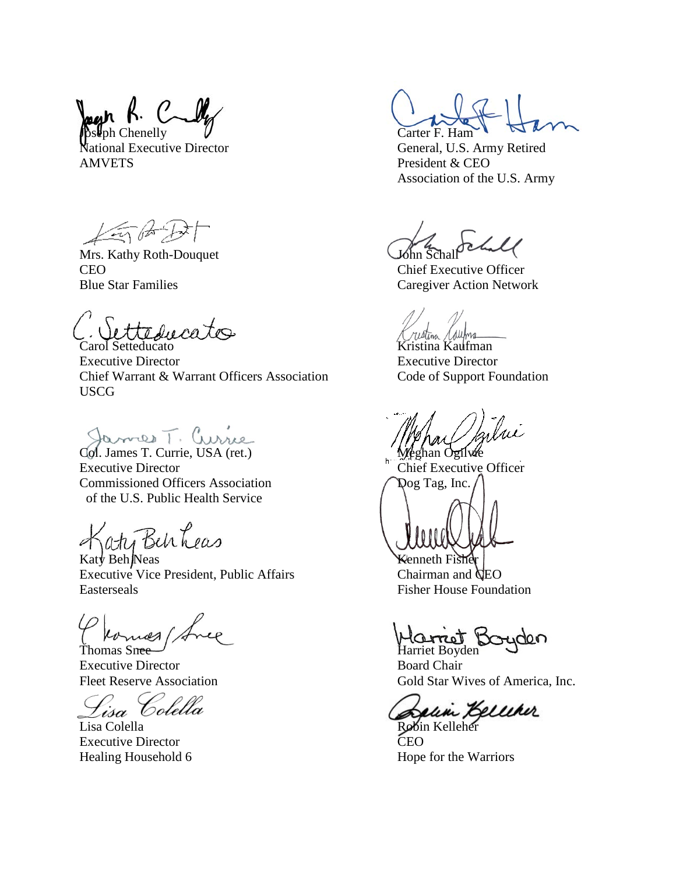$C - M$  $\mathsf{D}$ h Chenelly  $\mathsf{U}$  Carter F. Ham

AMVETS President & CEO

15675

Mrs. Kathy Roth-Douquet CEO Chief Executive Officer

etteducates

**Carol Setteducato** Kristina Kaufman Executive Director Executive Director Chief Warrant & Warrant Officers Association Code of Support Foundation USCG

Col. James T. Currie, USA (ret.) Meghan Ogilvie

Executive Director **Chief Executive Officer** Chief Executive Officer Commissioned Officers Association  $\bigcap$  Dog Tag, Inc. of the U.S. Public Health Service

aty Benheas

 $\kappa$ aty Beh Neas Kenneth Fisher Executive Vice President, Public Affairs Chairman and CEO Easterseals Fisher House Foundation

Executive Director Board Chair

Lisa Colella

Lisa Colella Robin Kelleher Executive Director CEO

National Executive Director General, U.S. Army Retired Association of the U.S. Army

Blue Star Families Caregiver Action Network

(Vornes Avec Harret Boyden

Fleet Reserve Association Gold Star Wives of America, Inc.

Salin Kelleher

Healing Household 6 Hope for the Warriors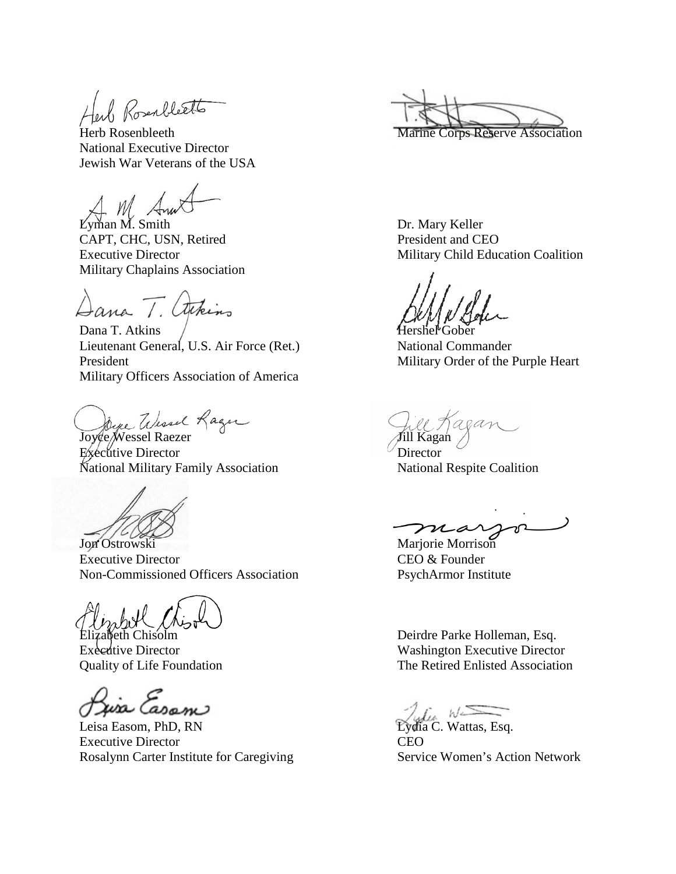Rosenbleets

National Executive Director Jewish War Veterans of the USA

Lyman M. Smith Dr. Mary Keller CAPT, CHC, USN, Retired President and CEO Military Chaplains Association

Dana T. arkins

Dana T. Atkins / Hershel Gober Lieutenant General, U.S. Air Force (Ret.) National Commander President Military Order of the Purple Heart Military Officers Association of America

Joyce Wessel Rager<br>Joyce Wessel Raezer Jill Kagan

Executive Director Director National Military Family Association National Respite Coalition

Executive Director CEO & Founder Non-Commissioned Officers Association PsychArmor Institute

 $\alpha$ use Casam  $\alpha$ <br>Leisa Easom, PhD, RN Eydia C. Wattas, Esq. Executive Director CEO Rosalynn Carter Institute for Caregiving Service Women's Action Network

Herb Rosenbleeth Marine Corps Reserve Association

Executive Director Military Child Education Coalition

Jon Ostrowski Marjorie Morrison

America Deirdre Parke Holleman, Esq. Executive Director Washington Executive Director Quality of Life Foundation The Retired Enlisted Association